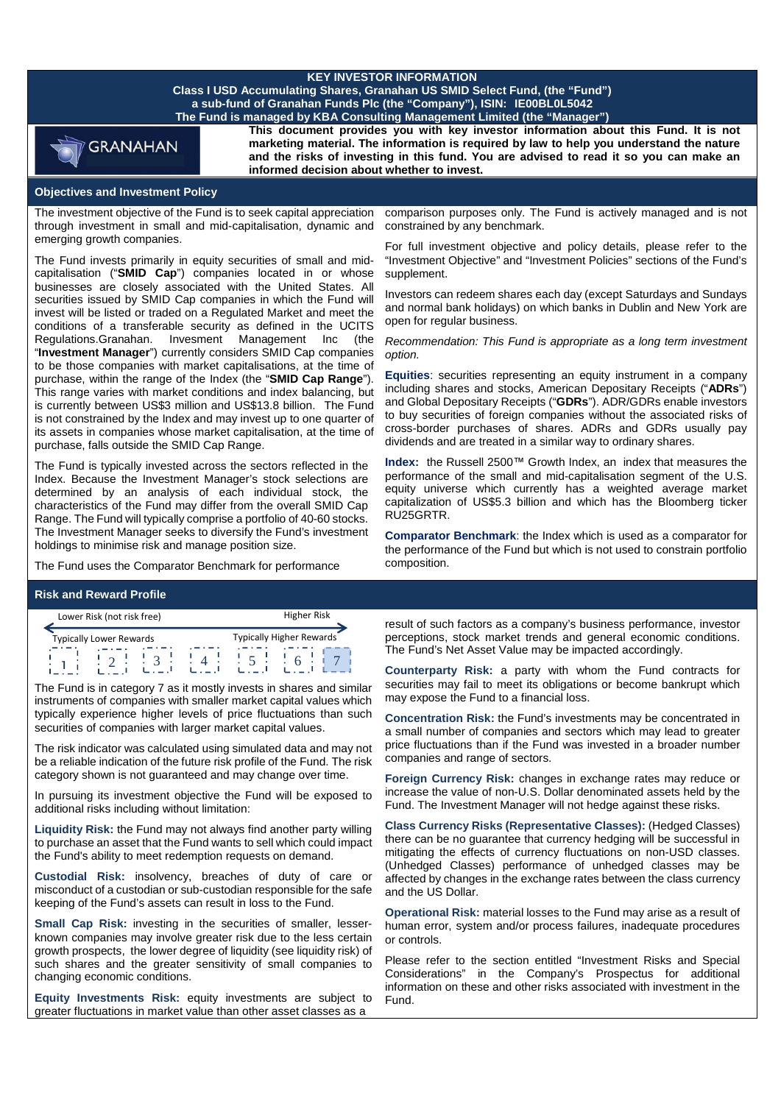# **KEY INVESTOR INFORMATION**

**Class I USD Accumulating Shares, Granahan US SMID Select Fund, (the "Fund") a sub-fund of Granahan Funds Plc (the "Company"), ISIN: IE00BL0L5042 The Fund is managed by KBA Consulting Management Limited (the "Manager")** 



**This document provides you with key investor information about this Fund. It is not marketing material. The information is required by law to help you understand the nature and the risks of investing in this fund. You are advised to read it so you can make an informed decision about whether to invest.**

### **Objectives and Investment Policy**

The investment objective of the Fund is to seek capital appreciation through investment in small and mid-capitalisation, dynamic and emerging growth companies.

The Fund invests primarily in equity securities of small and midcapitalisation ("**SMID Cap**") companies located in or whose businesses are closely associated with the United States. All securities issued by SMID Cap companies in which the Fund will invest will be listed or traded on a Regulated Market and meet the conditions of a transferable security as defined in the UCITS Regulations.Granahan. Invesment Management Inc (the "**Investment Manager**") currently considers SMID Cap companies to be those companies with market capitalisations, at the time of purchase, within the range of the Index (the "**SMID Cap Range**"). This range varies with market conditions and index balancing, but is currently between US\$3 million and US\$13.8 billion. The Fund is not constrained by the Index and may invest up to one quarter of its assets in companies whose market capitalisation, at the time of purchase, falls outside the SMID Cap Range.

The Fund is typically invested across the sectors reflected in the Index. Because the Investment Manager's stock selections are determined by an analysis of each individual stock, the characteristics of the Fund may differ from the overall SMID Cap Range. The Fund will typically comprise a portfolio of 40-60 stocks. The Investment Manager seeks to diversify the Fund's investment holdings to minimise risk and manage position size.

The Fund uses the Comparator Benchmark for performance

## **Risk and Reward Profile**

| Lower Risk (not risk free) |                                |  |  | <b>Higher Risk</b> |                          |
|----------------------------|--------------------------------|--|--|--------------------|--------------------------|
|                            | <b>Typically Lower Rewards</b> |  |  |                    | Typically Higher Rewards |
|                            | ٠                              |  |  |                    |                          |

The Fund is in category 7 as it mostly invests in shares and similar instruments of companies with smaller market capital values which typically experience higher levels of price fluctuations than such securities of companies with larger market capital values.

The risk indicator was calculated using simulated data and may not be a reliable indication of the future risk profile of the Fund. The risk category shown is not guaranteed and may change over time.

In pursuing its investment objective the Fund will be exposed to additional risks including without limitation:

**Liquidity Risk:** the Fund may not always find another party willing to purchase an asset that the Fund wants to sell which could impact the Fund's ability to meet redemption requests on demand.

**Custodial Risk:** insolvency, breaches of duty of care or misconduct of a custodian or sub-custodian responsible for the safe keeping of the Fund's assets can result in loss to the Fund.

**Small Cap Risk:** investing in the securities of smaller, lesserknown companies may involve greater risk due to the less certain growth prospects, the lower degree of liquidity (see liquidity risk) of such shares and the greater sensitivity of small companies to changing economic conditions.

**Equity Investments Risk:** equity investments are subject to greater fluctuations in market value than other asset classes as a

comparison purposes only. The Fund is actively managed and is not constrained by any benchmark.

For full investment objective and policy details, please refer to the "Investment Objective" and "Investment Policies" sections of the Fund's supplement.

Investors can redeem shares each day (except Saturdays and Sundays and normal bank holidays) on which banks in Dublin and New York are open for regular business.

*Recommendation: This Fund is appropriate as a long term investment option.* 

**Equities**: securities representing an equity instrument in a company including shares and stocks, American Depositary Receipts ("**ADRs**") and Global Depositary Receipts ("**GDRs**"). ADR/GDRs enable investors to buy securities of foreign companies without the associated risks of cross-border purchases of shares. ADRs and GDRs usually pay dividends and are treated in a similar way to ordinary shares.

**Index:** the Russell 2500™ Growth Index, an index that measures the performance of the small and mid-capitalisation segment of the U.S. equity universe which currently has a weighted average market capitalization of US\$5.3 billion and which has the Bloomberg ticker RU25GRTR.

**Comparator Benchmark**: the Index which is used as a comparator for the performance of the Fund but which is not used to constrain portfolio composition.

result of such factors as a company's business performance, investor perceptions, stock market trends and general economic conditions. The Fund's Net Asset Value may be impacted accordingly.

**Counterparty Risk:** a party with whom the Fund contracts for securities may fail to meet its obligations or become bankrupt which may expose the Fund to a financial loss.

**Concentration Risk:** the Fund's investments may be concentrated in a small number of companies and sectors which may lead to greater price fluctuations than if the Fund was invested in a broader number companies and range of sectors.

**Foreign Currency Risk:** changes in exchange rates may reduce or increase the value of non-U.S. Dollar denominated assets held by the Fund. The Investment Manager will not hedge against these risks.

**Class Currency Risks (Representative Classes):** (Hedged Classes) there can be no guarantee that currency hedging will be successful in mitigating the effects of currency fluctuations on non-USD classes. (Unhedged Classes) performance of unhedged classes may be affected by changes in the exchange rates between the class currency and the US Dollar.

**Operational Risk:** material losses to the Fund may arise as a result of human error, system and/or process failures, inadequate procedures or controls.

Please refer to the section entitled "Investment Risks and Special Considerations" in the Company's Prospectus for additional information on these and other risks associated with investment in the Fund.